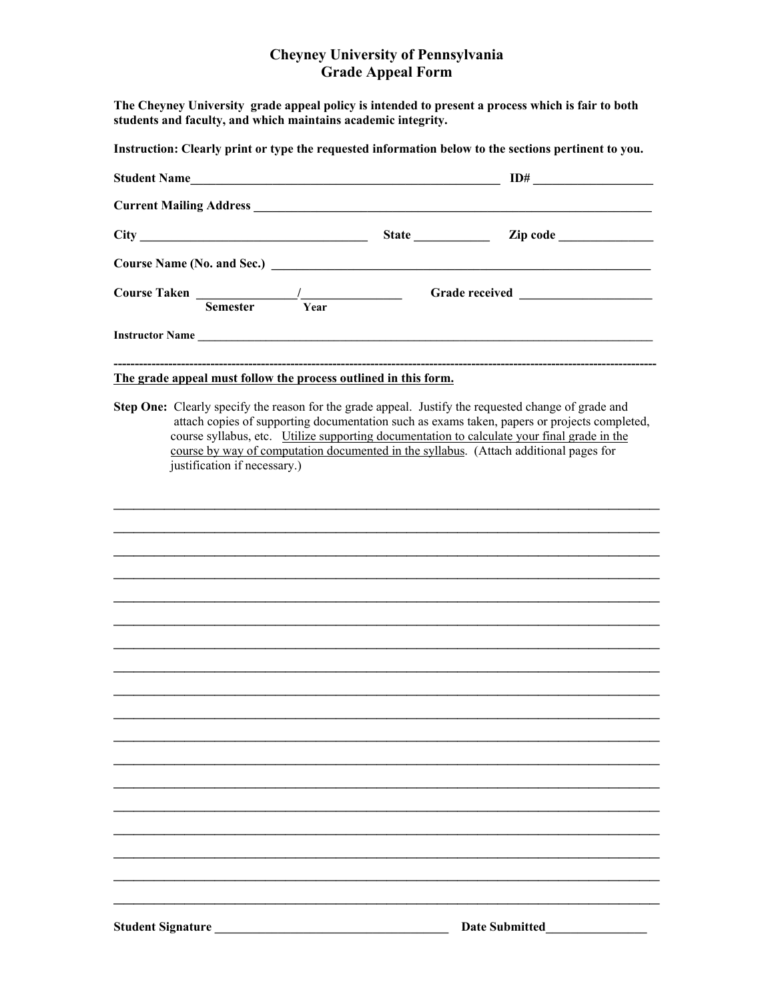## **Cheyney University of Pennsylvania Grade Appeal Form**

**The Cheyney University grade appeal policy is intended to present a process which is fair to both students and faculty, and which maintains academic integrity.** 

**Instruction: Clearly print or type the requested information below to the sections pertinent to you.**

|                 |      |                 | $\mathbf{Zip code } \_\_$ |  |
|-----------------|------|-----------------|---------------------------|--|
|                 |      |                 |                           |  |
| <b>Semester</b> | Year |                 |                           |  |
|                 |      | Instructor Name |                           |  |
|                 |      |                 |                           |  |

## **The grade appeal must follow the process outlined in this form.**

**Step One:** Clearly specify the reason for the grade appeal. Justify the requested change of grade and attach copies of supporting documentation such as exams taken, papers or projects completed, course syllabus, etc. Utilize supporting documentation to calculate your final grade in the course by way of computation documented in the syllabus. (Attach additional pages for justification if necessary.)

 $\mathcal{L}_\text{max}$  , and the contract of the contract of the contract of the contract of the contract of the contract of the contract of the contract of the contract of the contract of the contract of the contract of the contr